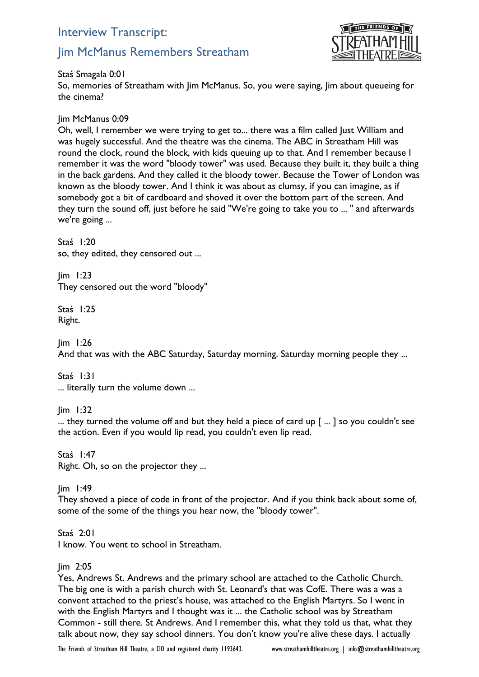# Interview Transcript:

# Jim McManus Remembers Streatham



Staś Smagala 0:01

So, memories of Streatham with Jim McManus. So, you were saying, Jim about queueing for the cinema?

Jim McManus 0:09

Oh, well, I remember we were trying to get to... there was a film called Just William and was hugely successful. And the theatre was the cinema. The ABC in Streatham Hill was round the clock, round the block, with kids queuing up to that. And I remember because I remember it was the word "bloody tower" was used. Because they built it, they built a thing in the back gardens. And they called it the bloody tower. Because the Tower of London was known as the bloody tower. And I think it was about as clumsy, if you can imagine, as if somebody got a bit of cardboard and shoved it over the bottom part of the screen. And they turn the sound off, just before he said "We're going to take you to ... " and afterwards we're going ...

Staś 1:20 so, they edited, they censored out ...

Jim 1:23 They censored out the word "bloody"

Staś 1:25 Right.

Jim 1:26 And that was with the ABC Saturday, Saturday morning. Saturday morning people they ...

Staś 1:31 ... literally turn the volume down ...

Jim 1:32

... they turned the volume off and but they held a piece of card up [ ... ] so you couldn't see the action. Even if you would lip read, you couldn't even lip read.

Staś 1:47 Right. Oh, so on the projector they ...

Jim 1:49

They shoved a piece of code in front of the projector. And if you think back about some of, some of the some of the things you hear now, the "bloody tower".

Staś 2:01 I know. You went to school in Streatham.

## Jim 2:05

Yes, Andrews St. Andrews and the primary school are attached to the Catholic Church. The big one is with a parish church with St. Leonard's that was CofE. There was a was a convent attached to the priest's house, was attached to the English Martyrs. So I went in with the English Martyrs and I thought was it ... the Catholic school was by Streatham Common - still there. St Andrews. And I remember this, what they told us that, what they talk about now, they say school dinners. You don't know you're alive these days. I actually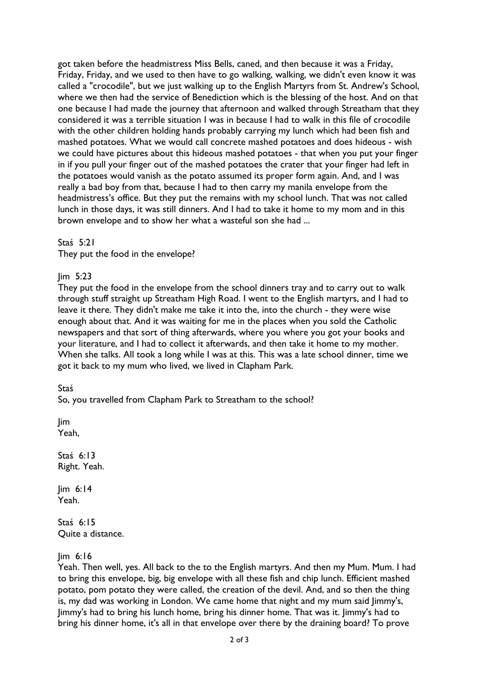got taken before the headmistress Miss Bells, caned, and then because it was a Friday, Friday, Friday, and we used to then have to go walking, walking, we didn't even know it was called a "crocodile", but we just walking up to the English Martyrs from St. Andrew's School, where we then had the service of Benediction which is the blessing of the host. And on that one because I had made the journey that afternoon and walked through Streatham that they considered it was a terrible situation I was in because I had to walk in this file of crocodile with the other children holding hands probably carrying my lunch which had been fish and mashed potatoes. What we would call concrete mashed potatoes and does hideous - wish we could have pictures about this hideous mashed potatoes - that when you put your finger in if you pull your finger out of the mashed potatoes the crater that your finger had left in the potatoes would vanish as the potato assumed its proper form again. And, and I was really a bad boy from that, because I had to then carry my manila envelope from the headmistress's office. But they put the remains with my school lunch. That was not called lunch in those days, it was still dinners. And I had to take it home to my mom and in this brown envelope and to show her what a wasteful son she had ...

Staś 5:21

They put the food in the envelope?

Jim 5:23

They put the food in the envelope from the school dinners tray and to carry out to walk through stuff straight up Streatham High Road. I went to the English martyrs, and I had to leave it there. They didn't make me take it into the, into the church - they were wise enough about that. And it was waiting for me in the places when you sold the Catholic newspapers and that sort of thing afterwards, where you where you got your books and your literature, and I had to collect it afterwards, and then take it home to my mother. When she talks. All took a long while I was at this. This was a late school dinner, time we got it back to my mum who lived, we lived in Clapham Park.

Staś

So, you travelled from Clapham Park to Streatham to the school?

Jim Yeah,

Staś 6:13 Right. Yeah.

 $lim 6:14$ Yeah.

Staś 6:15 Quite a distance.

Jim 6:16

Yeah. Then well, yes. All back to the to the English martyrs. And then my Mum. Mum. I had to bring this envelope, big, big envelope with all these fish and chip lunch. Efficient mashed potato, pom potato they were called, the creation of the devil. And, and so then the thing is, my dad was working in London. We came home that night and my mum said Jimmy's, Jimmy's had to bring his lunch home, bring his dinner home. That was it. Jimmy's had to bring his dinner home, it's all in that envelope over there by the draining board? To prove